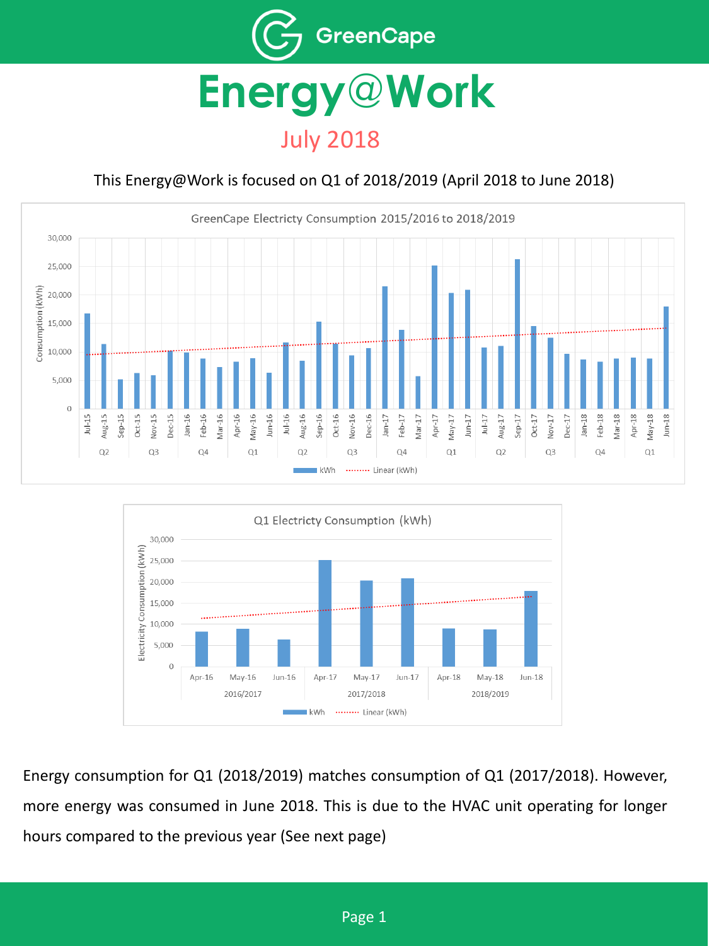

## July 2018

### This Energy@Work is focused on Q1 of 2018/2019 (April 2018 to June 2018)





Energy consumption for Q1 (2018/2019) matches consumption of Q1 (2017/2018). However, more energy was consumed in June 2018. This is due to the HVAC unit operating for longer hours compared to the previous year (See next page)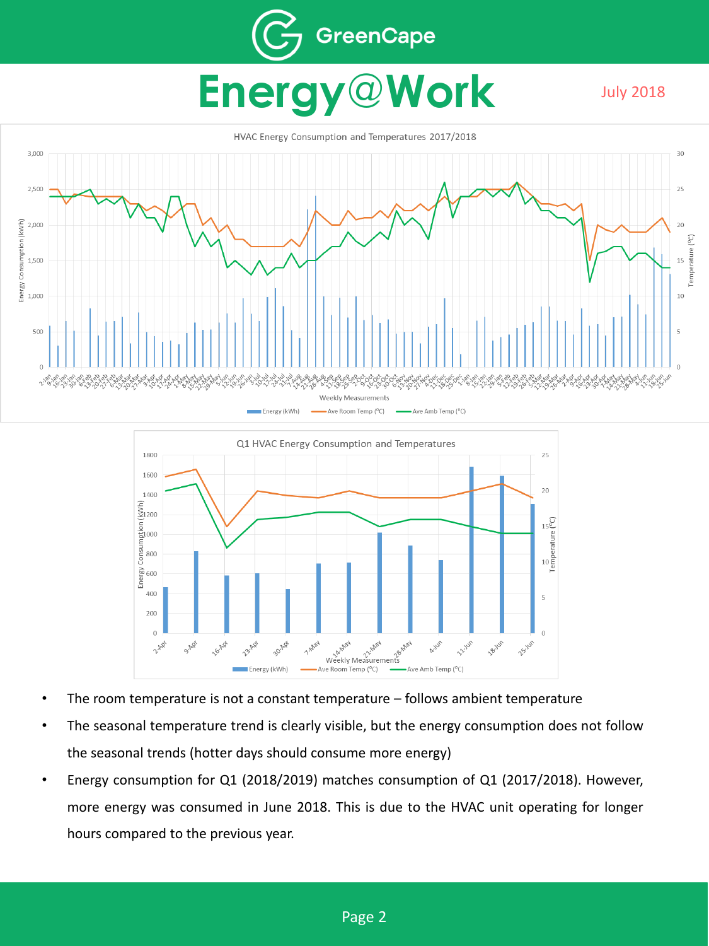## GreenCape **Energy**@**Work** July 2018





- The room temperature is not a constant temperature follows ambient temperature
- The seasonal temperature trend is clearly visible, but the energy consumption does not follow the seasonal trends (hotter days should consume more energy)
- Energy consumption for Q1 (2018/2019) matches consumption of Q1 (2017/2018). However, more energy was consumed in June 2018. This is due to the HVAC unit operating for longer hours compared to the previous year.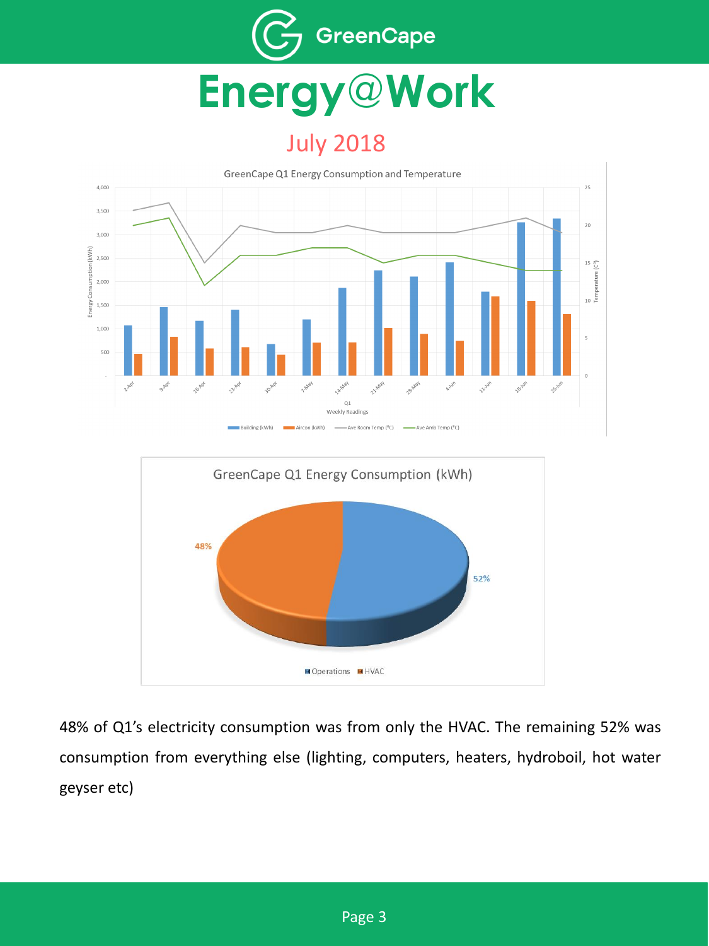

# **Energy**@**Work**

## July 2018





48% of Q1's electricity consumption was from only the HVAC. The remaining 52% was consumption from everything else (lighting, computers, heaters, hydroboil, hot water geyser etc)